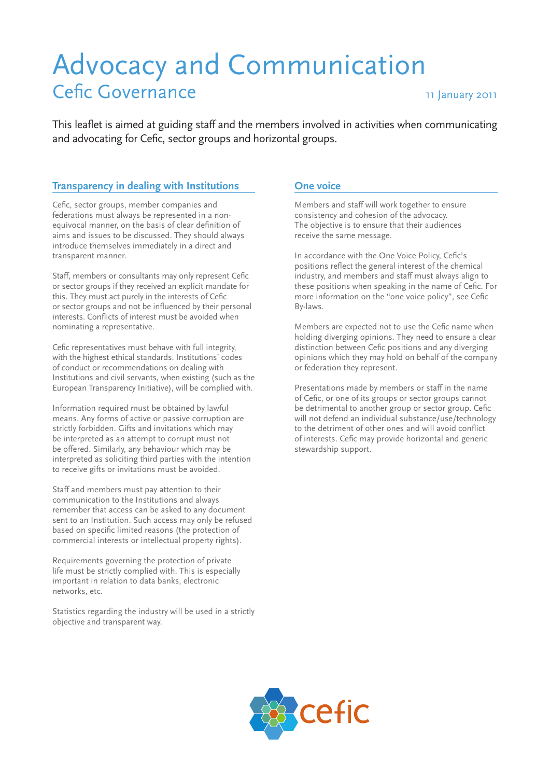# Advocacy and Communication Cefic Governance 11 January 2011

This leaflet is aimed at guiding staff and the members involved in activities when communicating and advocating for Cefic, sector groups and horizontal groups.

## **Transparency in dealing with Institutions**

Cefic, sector groups, member companies and federations must always be represented in a nonequivocal manner, on the basis of clear definition of aims and issues to be discussed. They should always introduce themselves immediately in a direct and transparent manner.

Staff, members or consultants may only represent Cefic or sector groups if they received an explicit mandate for this. They must act purely in the interests of Cefic or sector groups and not be influenced by their personal interests. Conflicts of interest must be avoided when nominating a representative.

Cefic representatives must behave with full integrity, with the highest ethical standards. Institutions' codes of conduct or recommendations on dealing with Institutions and civil servants, when existing (such as the European Transparency Initiative), will be complied with.

Information required must be obtained by lawful means. Any forms of active or passive corruption are strictly forbidden. Gifts and invitations which may be interpreted as an attempt to corrupt must not be offered. Similarly, any behaviour which may be interpreted as soliciting third parties with the intention to receive gifts or invitations must be avoided.

Staff and members must pay attention to their communication to the Institutions and always remember that access can be asked to any document sent to an Institution. Such access may only be refused based on specific limited reasons (the protection of commercial interests or intellectual property rights).

Requirements governing the protection of private life must be strictly complied with. This is especially important in relation to data banks, electronic networks, etc.

Statistics regarding the industry will be used in a strictly objective and transparent way.

# **One voice**

Members and staff will work together to ensure consistency and cohesion of the advocacy. The objective is to ensure that their audiences receive the same message.

In accordance with the One Voice Policy, Cefic's positions reflect the general interest of the chemical industry, and members and staff must always align to these positions when speaking in the name of Cefic. For more information on the "one voice policy", see Cefic By-laws.

Members are expected not to use the Cefic name when holding diverging opinions. They need to ensure a clear distinction between Cefic positions and any diverging opinions which they may hold on behalf of the company or federation they represent.

Presentations made by members or staff in the name of Cefic, or one of its groups or sector groups cannot be detrimental to another group or sector group. Cefic will not defend an individual substance/use/technology to the detriment of other ones and will avoid conflict of interests. Cefic may provide horizontal and generic stewardship support.